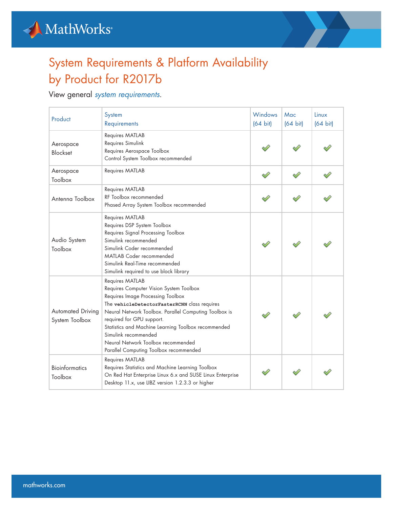



## System Requirements & Platform Availability by Product for R2017b

View general *[system requirements](https://www.mathworks.com/content/dam/mathworks/mathworks-dot-com/support/sysreq/files/SystemRequirements-Release2017a_SupportedCompilers.pdf/SystemRequirements-Release2017b_SupportedCompilers.pdf)*.

| Product                                    | System<br>Requirements                                                                                                                                                                                                                                                                                                                                                                               | Windows<br>$(64 \text{ bit})$ | Mac<br>$(64 \text{ bit})$ | Linux<br>$(64 \text{ bit})$ |
|--------------------------------------------|------------------------------------------------------------------------------------------------------------------------------------------------------------------------------------------------------------------------------------------------------------------------------------------------------------------------------------------------------------------------------------------------------|-------------------------------|---------------------------|-----------------------------|
| Aerospace<br><b>Blockset</b>               | Requires MATLAB<br>Requires Simulink<br>Requires Aerospace Toolbox<br>Control System Toolbox recommended                                                                                                                                                                                                                                                                                             |                               |                           |                             |
| Aerospace<br>Toolbox                       | Requires MATLAB                                                                                                                                                                                                                                                                                                                                                                                      |                               |                           |                             |
| Antenna Toolbox                            | Requires MATLAB<br>RF Toolbox recommended<br>Phased Array System Toolbox recommended                                                                                                                                                                                                                                                                                                                 |                               |                           |                             |
| Audio System<br>Toolbox                    | Requires MATLAB<br>Requires DSP System Toolbox<br>Requires Signal Processing Toolbox<br>Simulink recommended<br>Simulink Coder recommended<br><b>MATLAB Coder recommended</b><br>Simulink Real-Time recommended<br>Simulink required to use block library                                                                                                                                            |                               |                           |                             |
| <b>Automated Driving</b><br>System Toolbox | Requires MATLAB<br>Requires Computer Vision System Toolbox<br>Requires Image Processing Toolbox<br>The vehicleDetectorFasterRCNN class requires<br>Neural Network Toolbox. Parallel Computing Toolbox is<br>required for GPU support.<br>Statistics and Machine Learning Toolbox recommended<br>Simulink recommended<br>Neural Network Toolbox recommended<br>Parallel Computing Toolbox recommended |                               |                           |                             |
| <b>Bioinformatics</b><br>Toolbox           | Requires MATLAB<br>Requires Statistics and Machine Learning Toolbox<br>On Red Hat Enterprise Linux 6.x and SUSE Linux Enterprise<br>Desktop 11.x, use LIBZ version 1.2.3.3 or higher                                                                                                                                                                                                                 |                               |                           |                             |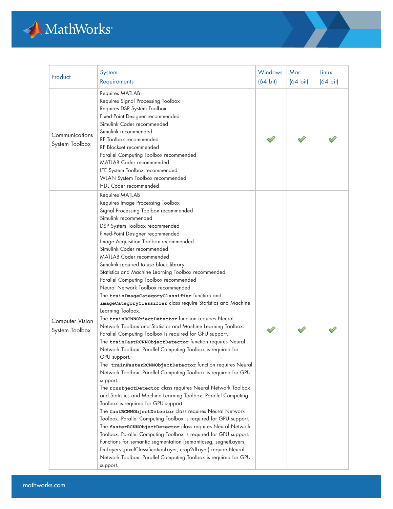

| Product                           | System<br>Requirements                                                                                                                                                                                                                                                                                                                                                                                                                                                                                                                                                                                                                                                                                                                                                                                                                                                                                                                                                                                                                                                                                                                                                                                                                                                                                                                                                                                                                                                                                                                                                                                                                                                                                                                                                     | Windows<br>$(64 \text{ bit})$ | Mac<br>$(64 \text{ bit})$ | Linux<br>$(64 \text{ bit})$ |
|-----------------------------------|----------------------------------------------------------------------------------------------------------------------------------------------------------------------------------------------------------------------------------------------------------------------------------------------------------------------------------------------------------------------------------------------------------------------------------------------------------------------------------------------------------------------------------------------------------------------------------------------------------------------------------------------------------------------------------------------------------------------------------------------------------------------------------------------------------------------------------------------------------------------------------------------------------------------------------------------------------------------------------------------------------------------------------------------------------------------------------------------------------------------------------------------------------------------------------------------------------------------------------------------------------------------------------------------------------------------------------------------------------------------------------------------------------------------------------------------------------------------------------------------------------------------------------------------------------------------------------------------------------------------------------------------------------------------------------------------------------------------------------------------------------------------------|-------------------------------|---------------------------|-----------------------------|
| Communications<br>System Toolbox  | Requires MATLAB<br>Requires Signal Processing Toolbox<br>Requires DSP System Toolbox<br>Fixed-Point Designer recommended<br>Simulink Coder recommended<br>Simulink recommended<br>RF Toolbox recommended<br>RF Blockset recommended<br>Parallel Computing Toolbox recommended<br>MATLAB Coder recommended<br>LTE System Toolbox recommended<br>WLAN System Toolbox recommended<br><b>HDL Coder recommended</b>                                                                                                                                                                                                                                                                                                                                                                                                                                                                                                                                                                                                                                                                                                                                                                                                                                                                                                                                                                                                                                                                                                                                                                                                                                                                                                                                                             |                               |                           |                             |
| Computer Vision<br>System Toolbox | Requires MATLAB<br>Requires Image Processing Toolbox<br>Signal Processing Toolbox recommended<br>Simulink recommended<br>DSP System Toolbox recommended<br>Fixed-Point Designer recommended<br>Image Acquisition Toolbox recommended<br>Simulink Coder recommended<br><b>MATLAB Coder recommended</b><br>Simulink required to use block library<br>Statistics and Machine Learning Toolbox recommended<br>Parallel Computing Toolbox recommended<br>Neural Network Toolbox recommended<br>The trainImageCategoryClassifier function and<br>imageCategoryClassifier class require Statistics and Machine<br>Learning Toolbox.<br>The trainRCNNObjectDetector function requires Neural<br>Network Toolbox and Statistics and Machine Learning Toolbox.<br>Parallel Computing Toolbox is required for GPU support.<br>The trainFastRCNNObjectDetector function requires Neural<br>Network Toolbox. Parallel Computing Toolbox is required for<br>GPU support.<br>The trainFasterRCNNObjectDetector function requires Neural<br>Network Toolbox. Parallel Computing Toolbox is required for GPU<br>support.<br>The rannbjectDetector class requires Neural Network Toolbox<br>and Statistics and Machine Learning Toolbox. Parallel Computing<br>Toolbox is required for GPU support.<br>The fastRCNNObjectDetector class requires Neural Network<br>Toolbox. Parallel Computing Toolbox is required for GPU support.<br>The fasterRCNNObjectDetector class requires Neural Network<br>Toolbox. Parallel Computing Toolbox is required for GPU support.<br>Functions for semantic segmentation (semanticseg, segnetLayers,<br>fcnLayers , pixelClassificationLayer, crop2dLayer) require Neural<br>Network Toolbox. Parallel Computing Toolbox is required for GPU<br>support. |                               |                           |                             |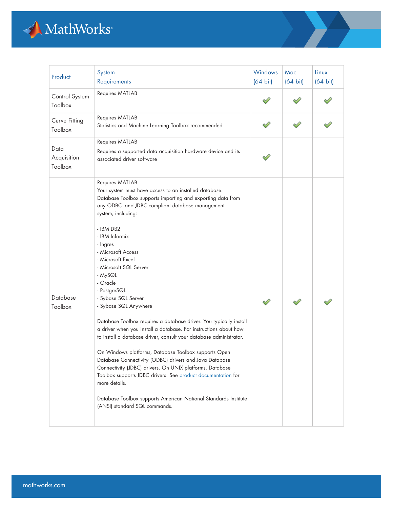

| Product                        | System<br>Requirements                                                                                                                                                                                                                                                                                                                                                                                                                                                                                                                                                                                                                                                                                                                                                                                                                                                                                                                                                                                       | Windows<br>$(64 \text{ bit})$ | Mac<br>$(64 \text{ bit})$ | Linux<br>$(64 \text{ bit})$ |
|--------------------------------|--------------------------------------------------------------------------------------------------------------------------------------------------------------------------------------------------------------------------------------------------------------------------------------------------------------------------------------------------------------------------------------------------------------------------------------------------------------------------------------------------------------------------------------------------------------------------------------------------------------------------------------------------------------------------------------------------------------------------------------------------------------------------------------------------------------------------------------------------------------------------------------------------------------------------------------------------------------------------------------------------------------|-------------------------------|---------------------------|-----------------------------|
| Control System<br>Toolbox      | Requires MATLAB                                                                                                                                                                                                                                                                                                                                                                                                                                                                                                                                                                                                                                                                                                                                                                                                                                                                                                                                                                                              |                               |                           |                             |
| Curve Fitting<br>Toolbox       | Requires MATLAB<br>Statistics and Machine Learning Toolbox recommended                                                                                                                                                                                                                                                                                                                                                                                                                                                                                                                                                                                                                                                                                                                                                                                                                                                                                                                                       |                               |                           |                             |
| Data<br>Acquisition<br>Toolbox | Requires MATLAB<br>Requires a supported data acquisition hardware device and its<br>associated driver software                                                                                                                                                                                                                                                                                                                                                                                                                                                                                                                                                                                                                                                                                                                                                                                                                                                                                               |                               |                           |                             |
| Database<br>Toolbox            | Requires MATLAB<br>Your system must have access to an installed database.<br>Database Toolbox supports importing and exporting data from<br>any ODBC- and JDBC-compliant database management<br>system, including:<br>- IBM DB2<br>- IBM Informix<br>- Ingres<br>- Microsoft Access<br>- Microsoft Excel<br>- Microsoft SQL Server<br>- MySQL<br>- Oracle<br>- PostgreSQL<br>- Sybase SQL Server<br>- Sybase SQL Anywhere<br>Database Toolbox requires a database driver. You typically install<br>a driver when you install a database. For instructions about how<br>to install a database driver, consult your database administrator.<br>On Windows platforms, Database Toolbox supports Open<br>Database Connectivity (ODBC) drivers and Java Database<br>Connectivity (JDBC) drivers. On UNIX platforms, Database<br>Toolbox supports JDBC drivers. See product documentation for<br>more details.<br>Database Toolbox supports American National Standards Institute<br>(ANSI) standard SQL commands. |                               |                           |                             |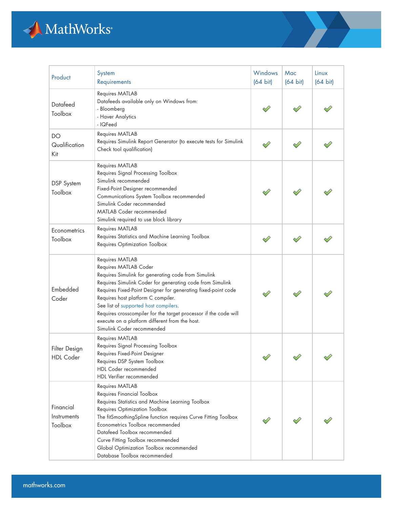

| Product                             | System<br>Requirements                                                                                                                                                                                                                                                                                                                                                                                                                                           | Windows<br>$(64 \text{ bit})$ | Mac<br>$(64 \text{ bit})$ | Linux<br>$(64 \text{ bit})$ |
|-------------------------------------|------------------------------------------------------------------------------------------------------------------------------------------------------------------------------------------------------------------------------------------------------------------------------------------------------------------------------------------------------------------------------------------------------------------------------------------------------------------|-------------------------------|---------------------------|-----------------------------|
| Datafeed<br>Toolbox                 | Requires MATLAB<br>Datafeeds available only on Windows from:<br>- Bloomberg<br>- Haver Analytics<br>- IQFeed                                                                                                                                                                                                                                                                                                                                                     |                               |                           |                             |
| DO<br>Qualification<br>Kit          | Requires MATLAB<br>Requires Simulink Report Generator (to execute tests for Simulink<br>Check tool qualification)                                                                                                                                                                                                                                                                                                                                                |                               |                           |                             |
| <b>DSP</b> System<br>Toolbox        | Requires MATLAB<br>Requires Signal Processing Toolbox<br>Simulink recommended<br>Fixed-Point Designer recommended<br>Communications System Toolbox recommended<br>Simulink Coder recommended<br><b>MATLAB Coder recommended</b><br>Simulink required to use block library                                                                                                                                                                                        |                               |                           |                             |
| Econometrics<br>Toolbox             | Requires MATLAB<br>Requires Statistics and Machine Learning Toolbox<br>Requires Optimization Toolbox                                                                                                                                                                                                                                                                                                                                                             |                               |                           |                             |
| Embedded<br>Coder                   | Requires MATLAB<br>Requires MATLAB Coder<br>Requires Simulink for generating code from Simulink<br>Requires Simulink Coder for generating code from Simulink<br>Requires Fixed-Point Designer for generating fixed-point code<br>Requires host platform C compiler.<br>See list of supported host compilers.<br>Requires crosscompiler for the target processor if the code will<br>execute on a platform different from the host.<br>Simulink Coder recommended |                               |                           |                             |
| Filter Design<br><b>HDL</b> Coder   | <b>Requires MATLAB</b><br>Requires Signal Processing Toolbox<br>Requires Fixed-Point Designer<br>Requires DSP System Toolbox<br>HDL Coder recommended<br>HDL Verifier recommended                                                                                                                                                                                                                                                                                |                               |                           |                             |
| Financial<br>Instruments<br>Toolbox | Requires MATLAB<br>Requires Financial Toolbox<br>Requires Statistics and Machine Learning Toolbox<br>Requires Optimization Toolbox<br>The fitSmoothingSpline function requires Curve Fitting Toolbox<br>Econometrics Toolbox recommended<br>Datafeed Toolbox recommended<br>Curve Fitting Toolbox recommended<br>Global Optimization Toolbox recommended<br>Database Toolbox recommended                                                                         |                               |                           |                             |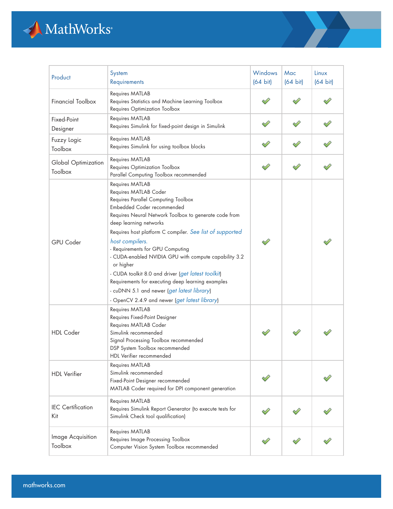

| Product                         | System<br>Requirements                                                                                                                                                                                                                                                                                                                                                                                                                                                                                                                                                                              | <b>Windows</b><br>$(64 \text{ bit})$ | Mac<br>$(64 \text{ bit})$ | Linux<br>$(64 \text{ bit})$ |
|---------------------------------|-----------------------------------------------------------------------------------------------------------------------------------------------------------------------------------------------------------------------------------------------------------------------------------------------------------------------------------------------------------------------------------------------------------------------------------------------------------------------------------------------------------------------------------------------------------------------------------------------------|--------------------------------------|---------------------------|-----------------------------|
| <b>Financial Toolbox</b>        | Requires MATLAB<br>Requires Statistics and Machine Learning Toolbox<br>Requires Optimization Toolbox                                                                                                                                                                                                                                                                                                                                                                                                                                                                                                |                                      |                           |                             |
| Fixed-Point<br>Designer         | Requires MATLAB<br>Requires Simulink for fixed-point design in Simulink                                                                                                                                                                                                                                                                                                                                                                                                                                                                                                                             |                                      |                           |                             |
| Fuzzy Logic<br>Toolbox          | Requires MATLAB<br>Requires Simulink for using toolbox blocks                                                                                                                                                                                                                                                                                                                                                                                                                                                                                                                                       |                                      |                           |                             |
| Global Optimization<br>Toolbox  | Requires MATLAB<br>Requires Optimization Toolbox<br>Parallel Computing Toolbox recommended                                                                                                                                                                                                                                                                                                                                                                                                                                                                                                          |                                      |                           |                             |
| <b>GPU</b> Coder                | Requires MATLAB<br>Requires MATLAB Coder<br>Requires Parallel Computing Toolbox<br>Embedded Coder recommended<br>Requires Neural Network Toolbox to generate code from<br>deep learning networks<br>Requires host platform C compiler. See list of supported<br>host compilers.<br>- Requirements for GPU Computing<br>- CUDA-enabled NVIDIA GPU with compute capability 3.2<br>or higher<br>- CUDA toolkit 8.0 and driver (get latest toolkit)<br>Requirements for executing deep learning examples<br>- cuDNN 5.1 and newer (get latest library)<br>- OpenCV 2.4.9 and newer (get latest library) |                                      |                           |                             |
| <b>HDL</b> Coder                | Requires MATLAB<br>Requires Fixed-Point Designer<br>Requires MATLAB Coder<br>Simulink recommended<br>Signal Processing Toolbox recommended<br>DSP System Toolbox recommended<br>HDL Verifier recommended                                                                                                                                                                                                                                                                                                                                                                                            |                                      |                           |                             |
| <b>HDL</b> Verifier             | Requires MATLAB<br>Simulink recommended<br>Fixed-Point Designer recommended<br>MATLAB Coder required for DPI component generation                                                                                                                                                                                                                                                                                                                                                                                                                                                                   |                                      |                           |                             |
| <b>IEC</b> Certification<br>Kit | Requires MATLAB<br>Requires Simulink Report Generator (to execute tests for<br>Simulink Check tool qualification)                                                                                                                                                                                                                                                                                                                                                                                                                                                                                   |                                      |                           |                             |
| Image Acquisition<br>Toolbox    | Requires MATLAB<br>Requires Image Processing Toolbox<br>Computer Vision System Toolbox recommended                                                                                                                                                                                                                                                                                                                                                                                                                                                                                                  |                                      |                           |                             |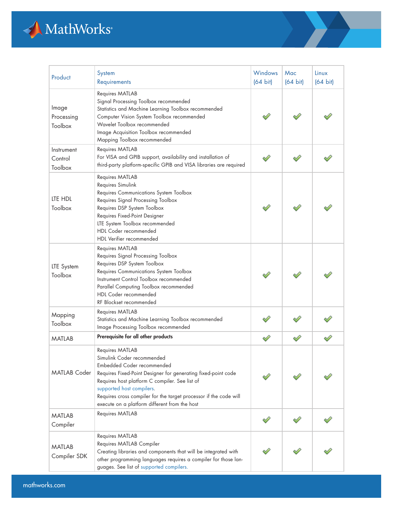

| Product                          | System<br>Requirements                                                                                                                                                                                                                                                                                                                            | Windows<br>$(64 \text{ bit})$ | Mac<br>$(64 \text{ bit})$ | Linux<br>$(64 \text{ bit})$ |
|----------------------------------|---------------------------------------------------------------------------------------------------------------------------------------------------------------------------------------------------------------------------------------------------------------------------------------------------------------------------------------------------|-------------------------------|---------------------------|-----------------------------|
| Image<br>Processing<br>Toolbox   | Requires MATLAB<br>Signal Processing Toolbox recommended<br>Statistics and Machine Learning Toolbox recommended<br>Computer Vision System Toolbox recommended<br>Wavelet Toolbox recommended<br>Image Acquisition Toolbox recommended<br>Mapping Toolbox recommended                                                                              |                               |                           |                             |
| Instrument<br>Control<br>Toolbox | Requires MATLAB<br>For VISA and GPIB support, availability and installation of<br>third-party platform-specific GPIB and VISA libraries are required                                                                                                                                                                                              |                               |                           |                             |
| LTE HDL<br>Toolbox               | Requires MATLAB<br>Requires Simulink<br>Requires Communications System Toolbox<br>Requires Signal Processing Toolbox<br>Requires DSP System Toolbox<br>Requires Fixed-Point Designer<br>LTE System Toolbox recommended<br>HDL Coder recommended<br>HDL Verifier recommended                                                                       |                               |                           |                             |
| LTE System<br>Toolbox            | Requires MATLAB<br>Requires Signal Processing Toolbox<br>Requires DSP System Toolbox<br>Requires Communications System Toolbox<br>Instrument Control Toolbox recommended<br>Parallel Computing Toolbox recommended<br>HDL Coder recommended<br>RF Blockset recommended                                                                            |                               |                           |                             |
| Mapping<br>Toolbox               | Requires MATLAB<br>Statistics and Machine Learning Toolbox recommended<br>Image Processing Toolbox recommended                                                                                                                                                                                                                                    |                               |                           |                             |
| <b>MATLAB</b>                    | Prerequisite for all other products                                                                                                                                                                                                                                                                                                               |                               |                           |                             |
| <b>MATLAB Coder</b>              | Requires MATLAB<br>Simulink Coder recommended<br>Embedded Coder recommended<br>Requires Fixed-Point Designer for generating fixed-point code<br>Requires host platform C compiler. See list of<br>supported host compilers.<br>Requires cross compiler for the target processor if the code will<br>execute on a platform different from the host |                               |                           |                             |
| <b>MATLAB</b><br>Compiler        | Requires MATLAB                                                                                                                                                                                                                                                                                                                                   |                               |                           |                             |
| <b>MATLAB</b><br>Compiler SDK    | Requires MATLAB<br>Requires MATLAB Compiler<br>Creating libraries and components that will be integrated with<br>other programming languages requires a compiler for those lan-<br>guages. See list of supported compilers.                                                                                                                       |                               |                           |                             |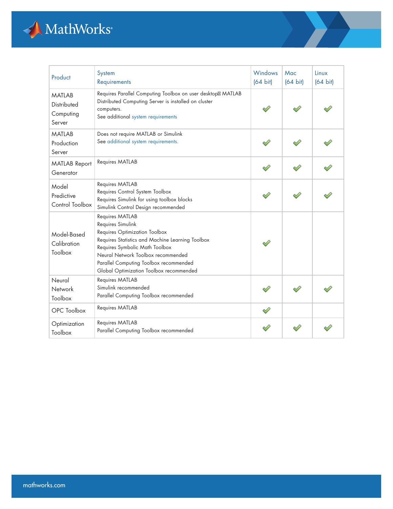

| Product                                             | System<br>Requirements                                                                                                                                                                                                                                                                 | Windows<br>$(64 \text{ bit})$ | Mac<br>$(64 \text{ bit})$ | Linux<br>$(64 \text{ bit})$ |
|-----------------------------------------------------|----------------------------------------------------------------------------------------------------------------------------------------------------------------------------------------------------------------------------------------------------------------------------------------|-------------------------------|---------------------------|-----------------------------|
| <b>MATLAB</b><br>Distributed<br>Computing<br>Server | Requires Parallel Computing Toolbox on user desktop MATLAB<br>Distributed Computing Server is installed on cluster<br>computers.<br>See additional system requirements                                                                                                                 |                               |                           |                             |
| <b>MATLAB</b><br>Production<br>Server               | Does not require MATLAB or Simulink<br>See additional system requirements.                                                                                                                                                                                                             |                               |                           |                             |
| <b>MATLAB Report</b><br>Generator                   | Requires MATLAB                                                                                                                                                                                                                                                                        |                               |                           |                             |
| Model<br>Predictive<br>Control Toolbox              | Requires MATLAB<br>Requires Control System Toolbox<br>Requires Simulink for using toolbox blocks<br>Simulink Control Design recommended                                                                                                                                                |                               |                           |                             |
| Model-Based<br>Calibration<br>Toolbox               | Requires MATLAB<br>Requires Simulink<br>Requires Optimization Toolbox<br>Requires Statistics and Machine Learning Toolbox<br>Requires Symbolic Math Toolbox<br>Neural Network Toolbox recommended<br>Parallel Computing Toolbox recommended<br>Global Optimization Toolbox recommended |                               |                           |                             |
| Neural<br>Network<br>Toolbox                        | Requires MATLAB<br>Simulink recommended<br>Parallel Computing Toolbox recommended                                                                                                                                                                                                      |                               |                           |                             |
| OPC Toolbox                                         | Requires MATLAB                                                                                                                                                                                                                                                                        |                               |                           |                             |
| Optimization<br>Toolbox                             | Requires MATLAB<br>Parallel Computing Toolbox recommended                                                                                                                                                                                                                              |                               |                           |                             |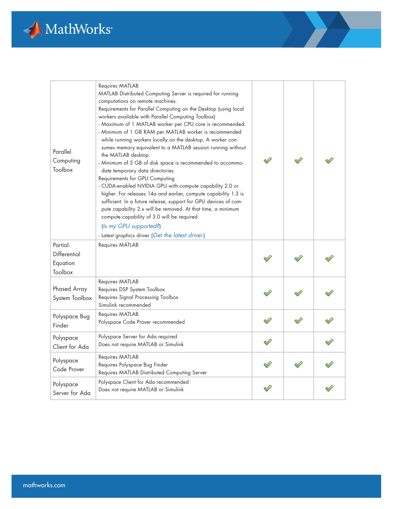

| Parallel<br>Computing<br>Toolbox               | Requires MATLAB<br>MATLAB Distributed Computing Server is required for running<br>computations on remote machines.<br>Requirements for Parallel Computing on the Desktop (using local<br>workers available with Parallel Computing Toolbox)<br>- Maximum of 1 MATLAB worker per CPU core is recommended.<br>- Minimum of 1 GB RAM per MATLAB worker is recommended<br>while running workers locally on the desktop. A worker con-<br>sumes memory equivalent to a MATLAB session running without<br>the MATLAB desktop.<br>- Minimum of 5 GB of disk space is recommended to accommo-<br>date temporary data directories.<br>Requirements for GPU Computing<br>- CUDA-enabled NVIDIA GPU with compute capability 2.0 or<br>higher. For releases 14a and earlier, compute capability 1.3 is<br>sufficient. In a future release, support for GPU devices of com-<br>pute capability 2.x will be removed. At that time, a minimum<br>compute capability of 3.0 will be required.<br>(Is my GPU supported?)<br>- Latest graphics driver (Get the latest driver.) |  |  |
|------------------------------------------------|--------------------------------------------------------------------------------------------------------------------------------------------------------------------------------------------------------------------------------------------------------------------------------------------------------------------------------------------------------------------------------------------------------------------------------------------------------------------------------------------------------------------------------------------------------------------------------------------------------------------------------------------------------------------------------------------------------------------------------------------------------------------------------------------------------------------------------------------------------------------------------------------------------------------------------------------------------------------------------------------------------------------------------------------------------------|--|--|
| Partial<br>Differential<br>Equation<br>Toolbox | Requires MATLAB                                                                                                                                                                                                                                                                                                                                                                                                                                                                                                                                                                                                                                                                                                                                                                                                                                                                                                                                                                                                                                              |  |  |
| Phased Array<br>System Toolbox                 | Requires MATLAB<br>Requires DSP System Toolbox<br>Requires Signal Processing Toolbox<br>Simulink recommended                                                                                                                                                                                                                                                                                                                                                                                                                                                                                                                                                                                                                                                                                                                                                                                                                                                                                                                                                 |  |  |
| Polyspace Bug<br>Finder                        | Requires MATLAB<br>Polyspace Code Prover recommended                                                                                                                                                                                                                                                                                                                                                                                                                                                                                                                                                                                                                                                                                                                                                                                                                                                                                                                                                                                                         |  |  |
| Polyspace<br>Client for Ada                    | Polyspace Server for Ada required<br>Does not require MATLAB or Simulink                                                                                                                                                                                                                                                                                                                                                                                                                                                                                                                                                                                                                                                                                                                                                                                                                                                                                                                                                                                     |  |  |
| Polyspace<br>Code Prover                       | Requires MATLAB<br>Requires Polyspace Bug Finder<br>Requires MATLAB Distributed Computing Server                                                                                                                                                                                                                                                                                                                                                                                                                                                                                                                                                                                                                                                                                                                                                                                                                                                                                                                                                             |  |  |
| Polyspace<br>Server for Ada                    | Polyspace Client for Ada recommended<br>Does not require MATLAB or Simulink                                                                                                                                                                                                                                                                                                                                                                                                                                                                                                                                                                                                                                                                                                                                                                                                                                                                                                                                                                                  |  |  |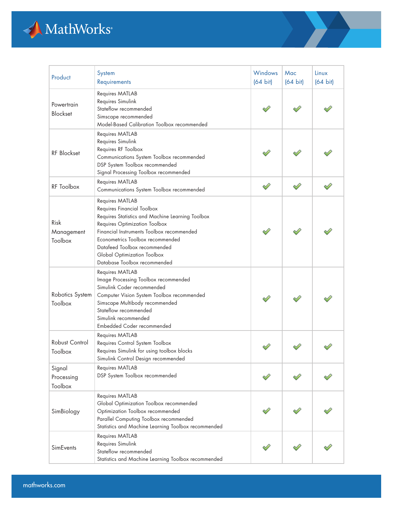

| Product                         | System<br>Requirements                                                                                                                                                                                                                                                                                             | Windows<br>$(64 \text{ bit})$ | Mac<br>$(64 \text{ bit})$ | Linux<br>$(64 \text{ bit})$ |
|---------------------------------|--------------------------------------------------------------------------------------------------------------------------------------------------------------------------------------------------------------------------------------------------------------------------------------------------------------------|-------------------------------|---------------------------|-----------------------------|
| Powertrain<br><b>Blockset</b>   | Requires MATLAB<br>Requires Simulink<br>Stateflow recommended<br>Simscape recommended<br>Model-Based Calibration Toolbox recommended                                                                                                                                                                               |                               |                           |                             |
| RF Blockset                     | Requires MATLAB<br>Requires Simulink<br>Requires RF Toolbox<br>Communications System Toolbox recommended<br>DSP System Toolbox recommended<br>Signal Processing Toolbox recommended                                                                                                                                |                               |                           |                             |
| RF Toolbox                      | Requires MATLAB<br>Communications System Toolbox recommended                                                                                                                                                                                                                                                       | ♦                             |                           |                             |
| Risk<br>Management<br>Toolbox   | Requires MATLAB<br>Requires Financial Toolbox<br>Requires Statistics and Machine Learning Toolbox<br>Requires Optimization Toolbox<br>Financial Instruments Toolbox recommended<br>Econometrics Toolbox recommended<br>Datafeed Toolbox recommended<br>Global Optimization Toolbox<br>Database Toolbox recommended |                               |                           |                             |
| Robotics System<br>Toolbox      | Requires MATLAB<br>Image Processing Toolbox recommended<br>Simulink Coder recommended<br>Computer Vision System Toolbox recommended<br>Simscape Multibody recommended<br>Stateflow recommended<br>Simulink recommended<br>Embedded Coder recommended                                                               |                               |                           |                             |
| Robust Control<br>Toolbox       | Requires MATLAB<br>Requires Control System Toolbox<br>Requires Simulink for using toolbox blocks<br>Simulink Control Design recommended                                                                                                                                                                            |                               |                           |                             |
| Signal<br>Processing<br>Toolbox | Requires MATLAB<br>DSP System Toolbox recommended                                                                                                                                                                                                                                                                  |                               |                           |                             |
| SimBiology                      | Requires MATLAB<br>Global Optimization Toolbox recommended<br>Optimization Toolbox recommended<br>Parallel Computing Toolbox recommended<br>Statistics and Machine Learning Toolbox recommended                                                                                                                    |                               |                           |                             |
| <b>SimEvents</b>                | Requires MATLAB<br>Requires Simulink<br>Stateflow recommended<br>Statistics and Machine Learning Toolbox recommended                                                                                                                                                                                               |                               |                           |                             |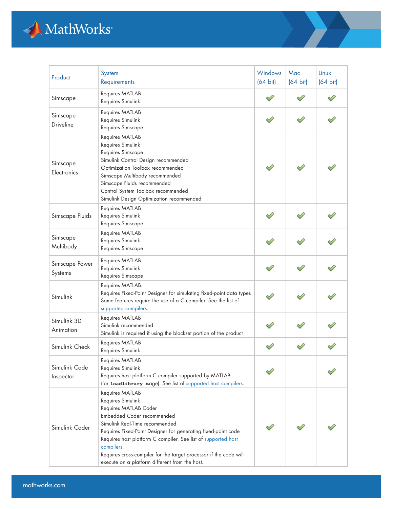

| Product                    | System<br>Requirements                                                                                                                                                                                                                                                                                                                                                                               | Windows<br>$(64 \text{ bit})$ | Mac<br>$(64 \text{ bit})$ | Linux<br>$(64 \text{ bit})$ |
|----------------------------|------------------------------------------------------------------------------------------------------------------------------------------------------------------------------------------------------------------------------------------------------------------------------------------------------------------------------------------------------------------------------------------------------|-------------------------------|---------------------------|-----------------------------|
| Simscape                   | Requires MATLAB<br>Requires Simulink                                                                                                                                                                                                                                                                                                                                                                 |                               |                           |                             |
| Simscape<br>Driveline      | Requires MATLAB<br>Requires Simulink<br>Requires Simscape                                                                                                                                                                                                                                                                                                                                            |                               |                           |                             |
| Simscape<br>Electronics    | Requires MATLAB<br>Requires Simulink<br>Requires Simscape<br>Simulink Control Design recommended<br>Optimization Toolbox recommended<br>Simscape Multibody recommended<br>Simscape Fluids recommended<br>Control System Toolbox recommended<br>Simulink Design Optimization recommended                                                                                                              |                               |                           |                             |
| Simscape Fluids            | Requires MATLAB<br>Requires Simulink<br>Requires Simscape                                                                                                                                                                                                                                                                                                                                            |                               |                           |                             |
| Simscape<br>Multibody      | Requires MATLAB<br>Requires Simulink<br>Requires Simscape                                                                                                                                                                                                                                                                                                                                            |                               |                           |                             |
| Simscape Power<br>Systems  | Requires MATLAB<br>Requires Simulink<br>Requires Simscape                                                                                                                                                                                                                                                                                                                                            |                               |                           |                             |
| Simulink                   | Requires MATLAB.<br>Requires Fixed-Point Designer for simulating fixed-point data types<br>Some features require the use of a C compiler. See the list of<br>supported compilers.                                                                                                                                                                                                                    |                               |                           |                             |
| Simulink 3D<br>Animation   | Requires MATLAB<br>Simulink recommended<br>Simulink is required if using the blockset portion of the product                                                                                                                                                                                                                                                                                         |                               |                           |                             |
| Simulink Check             | Requires MATLAB<br>Requires Simulink                                                                                                                                                                                                                                                                                                                                                                 |                               |                           |                             |
| Simulink Code<br>Inspector | Requires MATLAB<br>Requires Simulink<br>Requires host platform C compiler supported by MATLAB<br>(for loadlibrary usage). See list of supported host compilers.                                                                                                                                                                                                                                      |                               |                           |                             |
| Simulink Coder             | Requires MATLAB<br>Requires Simulink<br>Requires MATLAB Coder<br>Embedded Coder recommended<br>Simulink Real-Time recommended<br>Requires Fixed-Point Designer for generating fixed-point code<br>Requires host platform C compiler. See list of supported host<br>compilers.<br>Requires cross-compiler for the target processor if the code will<br>execute on a platform different from the host. |                               |                           |                             |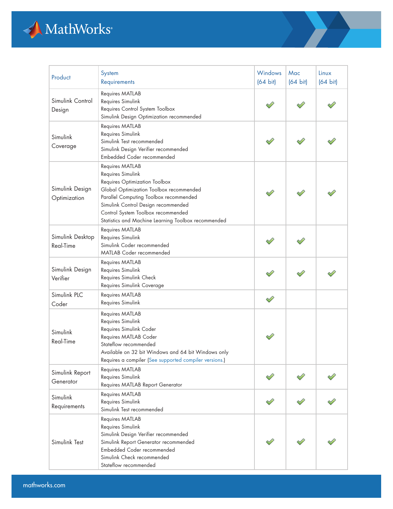

| Product                         | System<br>Requirements                                                                                                                                                                                                                                                                         | <b>Windows</b><br>$(64 \text{ bit})$ | Mac<br>$(64 \text{ bit})$ | Linux<br>$(64 \text{ bit})$ |
|---------------------------------|------------------------------------------------------------------------------------------------------------------------------------------------------------------------------------------------------------------------------------------------------------------------------------------------|--------------------------------------|---------------------------|-----------------------------|
| Simulink Control<br>Design      | Requires MATLAB<br>Requires Simulink<br>Requires Control System Toolbox<br>Simulink Design Optimization recommended                                                                                                                                                                            |                                      |                           |                             |
| Simulink<br>Coverage            | Requires MATLAB<br>Requires Simulink<br>Simulink Test recommended<br>Simulink Design Verifier recommended<br>Embedded Coder recommended                                                                                                                                                        |                                      |                           |                             |
| Simulink Design<br>Optimization | Requires MATLAB<br>Requires Simulink<br>Requires Optimization Toolbox<br>Global Optimization Toolbox recommended<br>Parallel Computing Toolbox recommended<br>Simulink Control Design recommended<br>Control System Toolbox recommended<br>Statistics and Machine Learning Toolbox recommended |                                      |                           |                             |
| Simulink Desktop<br>Real-Time   | Requires MATLAB<br>Requires Simulink<br>Simulink Coder recommended<br><b>MATLAB Coder recommended</b>                                                                                                                                                                                          |                                      |                           |                             |
| Simulink Design<br>Verifier     | Requires MATLAB<br>Requires Simulink<br>Requires Simulink Check<br>Requires Simulink Coverage                                                                                                                                                                                                  |                                      |                           |                             |
| Simulink PLC<br>Coder           | Requires MATLAB<br>Requires Simulink                                                                                                                                                                                                                                                           | ♦                                    |                           |                             |
| Simulink<br>Real-Time           | Requires MATLAB<br>Requires Simulink<br>Requires Simulink Coder<br>Requires MATLAB Coder<br>Stateflow recommended<br>Available on 32 bit Windows and 64 bit Windows only<br>Requires a compiler (See supported compiler versions.)                                                             |                                      |                           |                             |
| Simulink Report<br>Generator    | Requires MATLAB<br>Requires Simulink<br>Requires MATLAB Report Generator                                                                                                                                                                                                                       |                                      |                           |                             |
| Simulink<br>Requirements        | Requires MATLAB<br>Requires Simulink<br>Simulink Test recommended                                                                                                                                                                                                                              |                                      |                           |                             |
| Simulink Test                   | Requires MATLAB<br>Requires Simulink<br>Simulink Design Verifier recommended<br>Simulink Report Generator recommended<br>Embedded Coder recommended<br>Simulink Check recommended<br>Stateflow recommended                                                                                     |                                      |                           |                             |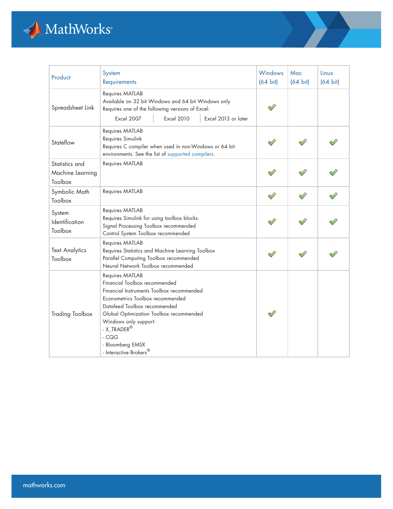

| Product                                       | System<br>Requirements                                                                                                                                                                                                                                                                                                               | <b>Windows</b><br>$(64 \text{ bit})$ | Mac<br>$(64 \text{ bit})$ | Linux<br>$(64 \text{ bit})$ |
|-----------------------------------------------|--------------------------------------------------------------------------------------------------------------------------------------------------------------------------------------------------------------------------------------------------------------------------------------------------------------------------------------|--------------------------------------|---------------------------|-----------------------------|
| Spreadsheet Link                              | Requires MATLAB<br>Available on 32 bit Windows and 64 bit Windows only<br>Requires one of the following versions of Excel:<br><b>Excel 2007</b><br><b>Excel 2010</b><br>Excel 2013 or later                                                                                                                                          |                                      |                           |                             |
| Stateflow                                     | Requires MATLAB<br>Requires Simulink<br>Requires C compiler when used in non-Windows or 64 bit<br>environments. See the list of supported compilers.                                                                                                                                                                                 |                                      |                           |                             |
| Statistics and<br>Machine Learning<br>Toolbox | Requires MATLAB                                                                                                                                                                                                                                                                                                                      |                                      |                           |                             |
| Symbolic Math<br>Toolbox                      | Requires MATLAB                                                                                                                                                                                                                                                                                                                      |                                      |                           |                             |
| System<br>Identification<br>Toolbox           | Requires MATLAB<br>Requires Simulink for using toolbox blocks<br>Signal Processing Toolbox recommended<br>Control System Toolbox recommended                                                                                                                                                                                         |                                      |                           |                             |
| <b>Text Analytics</b><br>Toolbox              | Requires MATLAB<br>Requires Statistics and Machine Learning Toolbox<br>Parallel Computing Toolbox recommended<br>Neural Network Toolbox recommended                                                                                                                                                                                  |                                      |                           |                             |
| <b>Trading Toolbox</b>                        | Requires MATLAB<br>Financial Toolbox recommended<br>Financial Instruments Toolbox recommended<br>Econometrics Toolbox recommended<br>Datafeed Toolbox recommended<br>Global Optimization Toolbox recommended<br>Windows only support:<br>- X_TRADER <sup>®</sup><br>$-CQG$<br>- Bloomberg EMSX<br>- Interactive Brokers <sup>®</sup> |                                      |                           |                             |